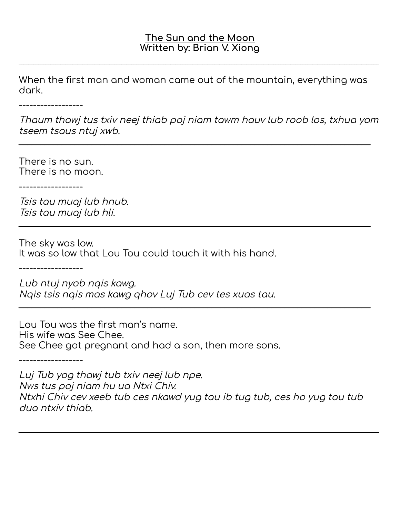## **The Sun and the Moon Written by: Brian V. Xiong**

\_\_\_\_\_\_\_\_\_\_\_\_\_\_\_\_\_\_\_\_\_\_\_\_\_\_\_\_\_\_\_\_\_\_\_\_\_\_\_\_\_\_\_\_\_\_\_\_\_\_\_\_\_\_\_\_\_\_\_\_\_\_\_\_\_\_\_\_\_\_\_\_\_\_\_\_\_\_\_\_\_\_\_\_\_\_\_\_\_\_\_\_\_\_\_\_\_\_\_\_\_\_\_\_\_\_\_\_\_\_\_\_\_\_\_\_\_\_\_\_\_\_\_\_\_\_\_\_\_\_\_\_\_\_\_\_\_\_\_\_\_\_\_\_\_\_\_

When the first man and woman came out of the mountain, everything was dark.

------------------

Thaum thawj tus txiv neej thiab poj niam tawm hauv lub roob los, txhua yam tseem tsaus ntuj xwb.

\_\_\_\_\_\_\_\_\_\_\_\_\_\_\_\_\_\_\_\_\_\_\_\_\_\_\_\_\_\_\_\_\_\_\_\_\_\_\_\_\_\_\_\_\_\_\_\_\_\_\_\_\_\_\_\_\_\_\_\_\_\_\_\_\_\_\_\_\_\_\_\_\_\_\_\_\_\_\_\_\_\_

\_\_\_\_\_\_\_\_\_\_\_\_\_\_\_\_\_\_\_\_\_\_\_\_\_\_\_\_\_\_\_\_\_\_\_\_\_\_\_\_\_\_\_\_\_\_\_\_\_\_\_\_\_\_\_\_\_\_\_\_\_\_\_\_\_\_\_\_\_\_\_\_\_\_\_\_\_\_\_\_\_\_

\_\_\_\_\_\_\_\_\_\_\_\_\_\_\_\_\_\_\_\_\_\_\_\_\_\_\_\_\_\_\_\_\_\_\_\_\_\_\_\_\_\_\_\_\_\_\_\_\_\_\_\_\_\_\_\_\_\_\_\_\_\_\_\_\_\_\_\_\_\_\_\_\_\_\_\_\_\_\_\_\_\_

There is no sun. There is no moon.

------------------

Tsis tau muaj lub hnub. Tsis tau muaj lub hli.

The sky was low. It was so low that Lou Tou could touch it with his hand.

------------------

Lub ntuj nyob nqis kawg. Nqis tsis nqis mas kawg qhov Luj Tub cev tes xuas tau.

Lou Tou was the first man's name. His wife was See Chee. See Chee got pregnant and had a son, then more sons.

------------------

Luj Tub yog thawj tub txiv neej lub npe. Nws tus poj niam hu ua Ntxi Chiv. Ntxhi Chiv cev xeeb tub ces nkawd yug tau ib tug tub, ces ho yug tau tub dua ntxiv thiab.

\_\_\_\_\_\_\_\_\_\_\_\_\_\_\_\_\_\_\_\_\_\_\_\_\_\_\_\_\_\_\_\_\_\_\_\_\_\_\_\_\_\_\_\_\_\_\_\_\_\_\_\_\_\_\_\_\_\_\_\_\_\_\_\_\_\_\_\_\_\_\_\_\_\_\_\_\_\_\_\_\_\_\_\_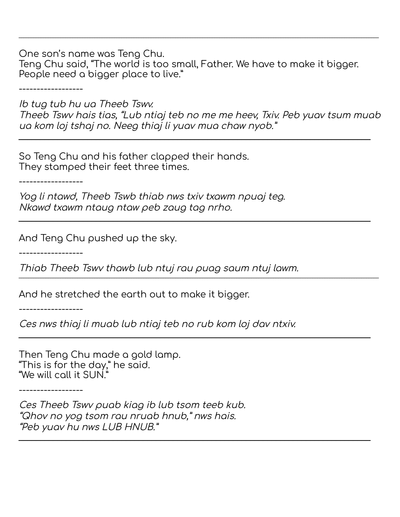One son's name was Teng Chu.

Teng Chu said, "The world is too small, Father. We have to make it bigger. People need a bigger place to live."

\_\_\_\_\_\_\_\_\_\_\_\_\_\_\_\_\_\_\_\_\_\_\_\_\_\_\_\_\_\_\_\_\_\_\_\_\_\_\_\_\_\_\_\_\_\_\_\_\_\_\_\_\_\_\_\_\_\_\_\_\_\_\_\_\_\_\_\_\_\_\_\_\_\_\_\_\_\_\_\_\_\_\_\_\_\_\_\_\_\_\_\_\_\_\_\_\_\_\_\_\_\_\_\_\_\_\_\_\_\_\_\_\_\_\_\_\_\_\_\_\_\_\_\_\_\_\_\_\_\_\_\_\_\_\_\_\_\_\_\_\_\_\_\_\_\_\_

------------------

Ib tug tub hu ua Theeb Tswv. Theeb Tswv hais tias, "Lub ntiaj teb no me me heev, Txiv. Peb yuav tsum muab ua kom loj tshaj no. Neeg thiaj li yuav mua chaw nyob."

\_\_\_\_\_\_\_\_\_\_\_\_\_\_\_\_\_\_\_\_\_\_\_\_\_\_\_\_\_\_\_\_\_\_\_\_\_\_\_\_\_\_\_\_\_\_\_\_\_\_\_\_\_\_\_\_\_\_\_\_\_\_\_\_\_\_\_\_\_\_\_\_\_\_\_\_\_\_\_\_\_\_

\_\_\_\_\_\_\_\_\_\_\_\_\_\_\_\_\_\_\_\_\_\_\_\_\_\_\_\_\_\_\_\_\_\_\_\_\_\_\_\_\_\_\_\_\_\_\_\_\_\_\_\_\_\_\_\_\_\_\_\_\_\_\_\_\_\_\_\_\_\_\_\_\_\_\_\_\_\_\_\_\_\_

\_\_\_\_\_\_\_\_\_\_\_\_\_\_\_\_\_\_\_\_\_\_\_\_\_\_\_\_\_\_\_\_\_\_\_\_\_\_\_\_\_\_\_\_\_\_\_\_\_\_\_\_\_\_\_\_\_\_\_\_\_\_\_\_\_\_\_\_\_\_\_\_\_\_\_\_\_\_\_\_\_\_

\_\_\_\_\_\_\_\_\_\_\_\_\_\_\_\_\_\_\_\_\_\_\_\_\_\_\_\_\_\_\_\_\_\_\_\_\_\_\_\_\_\_\_\_\_\_\_\_\_\_\_\_\_\_\_\_\_\_\_\_\_\_\_\_\_\_\_\_\_\_\_\_\_\_\_\_\_\_\_\_\_\_

So Teng Chu and his father clapped their hands. They stamped their feet three times.

------------------

Yog li ntawd, Theeb Tswb thiab nws txiv txawm npuaj teg. Nkawd txawm ntaug ntaw peb zaug tag nrho.

And Teng Chu pushed up the sky.

------------------

Thiab Theeb Tswv thawb lub ntuj rau puag saum ntuj lawm. \_\_\_\_\_\_\_\_\_\_\_\_\_\_\_\_\_\_\_\_\_\_\_\_\_\_\_\_\_\_\_\_\_\_\_\_\_\_\_\_\_\_\_\_\_\_\_\_\_\_\_\_\_\_\_\_\_\_\_\_\_\_\_\_\_\_\_\_\_\_\_\_\_\_\_\_\_\_\_\_\_\_\_\_\_\_\_\_\_\_\_\_\_\_\_\_\_\_\_\_\_\_\_\_\_\_\_\_\_\_\_\_\_\_\_\_\_\_\_\_\_\_\_\_\_\_\_\_\_\_\_\_\_\_\_\_\_\_\_\_\_\_\_\_\_\_\_

And he stretched the earth out to make it bigger.

------------------

Ces nws thiaj li muab lub ntiaj teb no rub kom loj dav ntxiv.

Then Teng Chu made a gold lamp. "This is for the day," he said. "We will call it SUN."

------------------

Ces Theeb Tswv puab kiag ib lub tsom teeb kub. "Qhov no yog tsom rau nruab hnub," nws hais. "Peb yuav hu nws LUB HNUB."